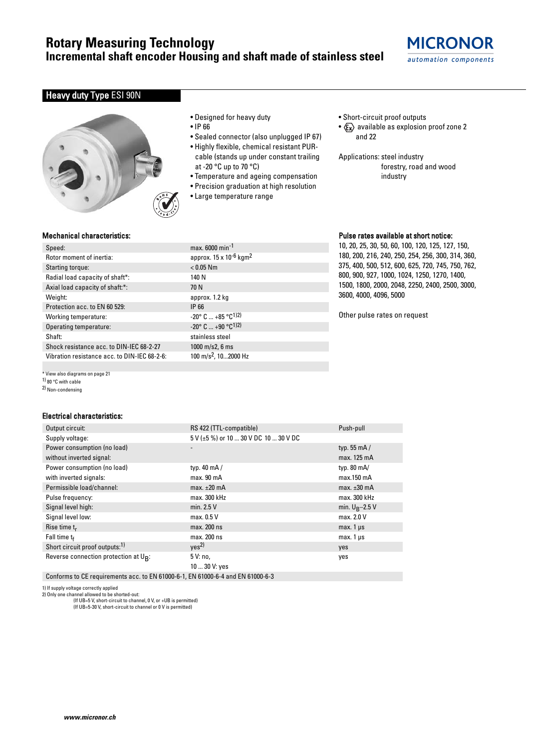# **Rotary Measuring Technology**

**Incremental shaft encoder Housing and shaft made of stainless steel**

# **MICRONOR** automation components

## **Heavy duty Type ESI 90N**



- Designed for heavy duty
- IP 66
- Sealed connector (also unplugged IP 67)
- Highly flexible, chemical resistant PURcable (stands up under constant trailing at -20 °C up to 70 °C)
- Temperature and ageing compensation
- Precision graduation at high resolution
- Large temperature range
- Short-circuit proof outputs
- $\langle \mathbf{F_x} \rangle$  available as explosion proof zone 2 and 22
- Applications: steel industry forestry, road and wood industry

### Mechanical characteristics:

| Speed:                                   | max.          |
|------------------------------------------|---------------|
| Rotor moment of inertia:                 | appro         |
| Starting torque:                         | < 0.05        |
| Radial load capacity of shaft*:          | 140 N         |
| Axial load capacity of shaft:*:          | 70 N          |
| Weight:                                  | appro         |
| Protection acc. to EN 60 529:            | IP 66         |
| Working temperature:                     | $-20^\circ$ ( |
| Operating temperature:                   | $-20^\circ$ ( |
| Shaft:                                   | stainl        |
| Shock resistance acc. to DIN-IEC 68-2-27 | 1000          |
|                                          |               |

\* View also diagrams on page 21

1) 80 °C with cable

2) Non-condensing

#### Electrical characteristics:

| Output circuit:                            | RS 422 (TTL-compatible)               | Push-pull            |
|--------------------------------------------|---------------------------------------|----------------------|
| Supply voltage:                            | 5 V (±5 %) or 10  30 V DC 10  30 V DC |                      |
| Power consumption (no load)                |                                       | typ. $55 \text{ mA}$ |
| without inverted signal:                   |                                       | max. 125 mA          |
| Power consumption (no load)                | typ. $40 \text{ mA}$                  | typ. $80 \text{ mA}$ |
| with inverted signals:                     | max. 90 mA                            | $max.150$ mA         |
| Permissible load/channel:                  | max. $\pm 20$ mA                      | max. $\pm 30$ mA     |
| Pulse frequency:                           | max. 300 kHz                          | max. 300 kHz         |
| Signal level high:                         | min. 2.5 V                            | min. $U_R - 2.5$ V   |
| Signal level low:                          | max. 0.5 V                            | max. 2.0 V           |
| Rise time $t_r$                            | max. 200 ns                           | max. $1 \mu s$       |
| Fall time $t_f$                            | max. 200 ns                           | $max.1 \mu s$        |
| Short circuit proof outputs: <sup>1)</sup> | ves <sup>2</sup>                      | yes                  |
| Reverse connection protection at UR:       | 5 V: no,                              | yes                  |
|                                            | 10  30 V: yes                         |                      |
|                                            |                                       |                      |

Conforms to CE requirements acc. to EN 61000-6-1, EN 61000-6-4 and EN 61000-6-3

1) If supply voltage correctly applied 2) Only one channel allowed to be shorted-out:

(If UB=5 V, short-circuit to channel, 0 V, or +UB is permitted) (If UB=5-30 V, short-circuit to channel or 0 V is permitted)

 $max. 6000 min<sup>-1</sup>$ approx.  $15 \times 10^{-6}$  kgm<sup>2</sup>  $< 0.05$  Nm approx. 1.2 kg  $-20$ ° C ...  $+85$  °C<sup>1)2)</sup>  $-20^{\circ}$  C  $...$  +90  $^{\circ}$ C<sup>1)2)</sup> stainless steel  $1000$  m/s2, 6 ms Vibration resistance acc. to DIN-IEC 68-2-6: 100 m/s2, 10...2000 Hz

### Pulse rates available at short notice:

10, 20, 25, 30, 50, 60, 100, 120, 125, 127, 150, 180, 200, 216, 240, 250, 254, 256, 300, 314, 360, 375, 400, 500, 512, 600, 625, 720, 745, 750, 762, 800, 900, 927, 1000, 1024, 1250, 1270, 1400, 1500, 1800, 2000, 2048, 2250, 2400, 2500, 3000, 3600, 4000, 4096, 5000

Other pulse rates on request